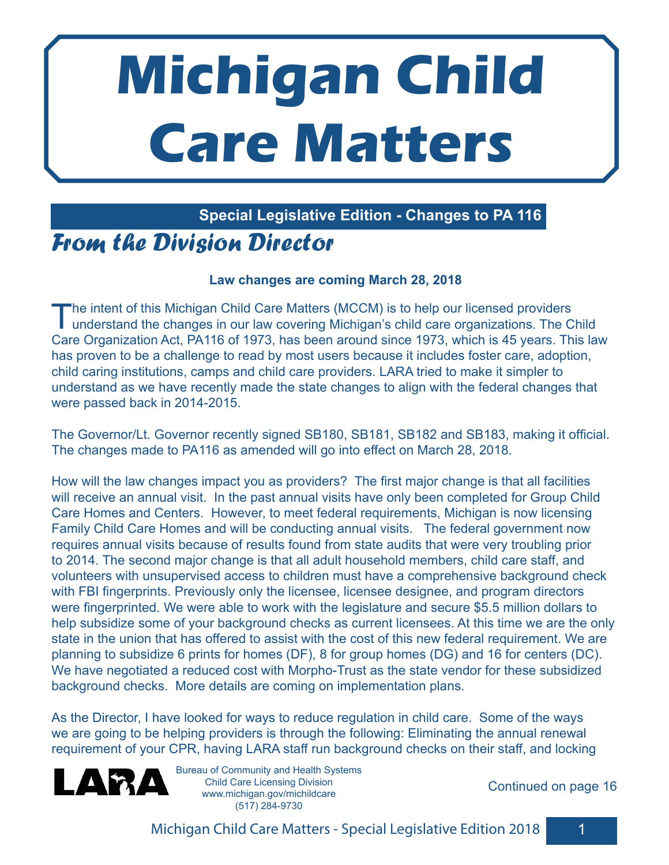# **Michigan Child Care Matters**

#### **Special Legislative Edition - Changes to PA 116**

## *From the Division Director*

#### **Law changes are coming March 28, 2018**

The intent of this Michigan Child Care Matters (MCCM) is to help our licensed providers<br>understand the changes in our law covering Michigan's child care organizations. The Child Care Organization Act, PA116 of 1973, has been around since 1973, which is 45 years. This law has proven to be a challenge to read by most users because it includes foster care, adoption, child caring institutions, camps and child care providers. LARA tried to make it simpler to understand as we have recently made the state changes to align with the federal changes that were passed back in 2014-2015.

The Governor/Lt. Governor recently signed SB180, SB181, SB182 and SB183, making it official. The changes made to PA116 as amended will go into effect on March 28, 2018.

How will the law changes impact you as providers? The first major change is that all facilities will receive an annual visit. In the past annual visits have only been completed for Group Child Care Homes and Centers. However, to meet federal requirements, Michigan is now licensing Family Child Care Homes and will be conducting annual visits. The federal government now requires annual visits because of results found from state audits that were very troubling prior to 2014. The second major change is that all adult household members, child care staff, and volunteers with unsupervised access to children must have a comprehensive background check with FBI fingerprints. Previously only the licensee, licensee designee, and program directors were fingerprinted. We were able to work with the legislature and secure \$5.5 million dollars to help subsidize some of your background checks as current licensees. At this time we are the only state in the union that has offered to assist with the cost of this new federal requirement. We are planning to subsidize 6 prints for homes (DF), 8 for group homes (DG) and 16 for centers (DC). We have negotiated a reduced cost with Morpho-Trust as the state vendor for these subsidized background checks. More details are coming on implementation plans.

As the Director, I have looked for ways to reduce regulation in child care. Some of the ways we are going to be helping providers is through the following: Eliminating the annual renewal requirement of your CPR, having LARA staff run background checks on their staff, and locking



Bureau of Community and Health Systems Child Care Licensing Division www.michigan.gov/michildcare (517) 284-9730

Continued on page 16

Michigan Child Care Matters - Special Legislative Edition 2018 1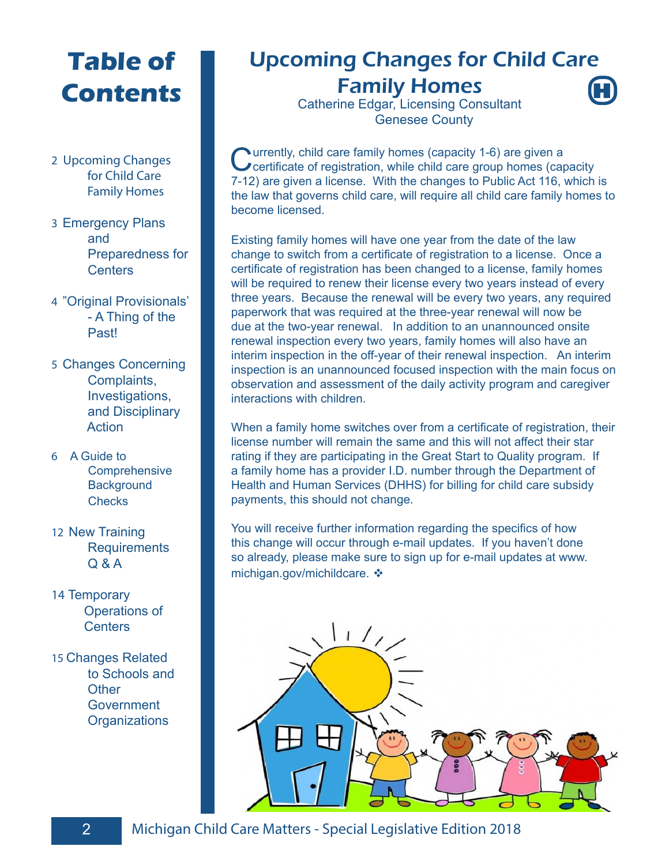## **Table of Contents**

- 2 Upcoming Changes for Child Care Family Homes
- 3 Emergency Plans and Preparedness for **Centers**
- 4 "Original Provisionals' - A Thing of the Past!
- 5 Changes Concerning Complaints, Investigations, and Disciplinary Action
- 6 A Guide to **Comprehensive Background Checks**
- 12 New Training **Requirements** Q & A
- 14 Temporary Operations of **Centers**
- 15 Changes Related to Schools and **Other Government Organizations**

## Upcoming Changes for Child Care

**H**

Family Homes Catherine Edgar, Licensing Consultant Genesee County

Currently, child care family homes (capacity 1-6) are given a certificate of registration, while child care group homes (capacity 7-12) are given a license. With the changes to Public Act 116, which is the law that governs child care, will require all child care family homes to become licensed.

Existing family homes will have one year from the date of the law change to switch from a certificate of registration to a license. Once a certificate of registration has been changed to a license, family homes will be required to renew their license every two years instead of every three years. Because the renewal will be every two years, any required paperwork that was required at the three-year renewal will now be due at the two-year renewal. In addition to an unannounced onsite renewal inspection every two years, family homes will also have an interim inspection in the off-year of their renewal inspection. An interim inspection is an unannounced focused inspection with the main focus on observation and assessment of the daily activity program and caregiver interactions with children.

When a family home switches over from a certificate of registration, their license number will remain the same and this will not affect their star rating if they are participating in the Great Start to Quality program. If a family home has a provider I.D. number through the Department of Health and Human Services (DHHS) for billing for child care subsidy payments, this should not change.

You will receive further information regarding the specifics of how this change will occur through e-mail updates. If you haven't done so already, please make sure to sign up for e-mail updates at www. michigan.gov/michildcare.

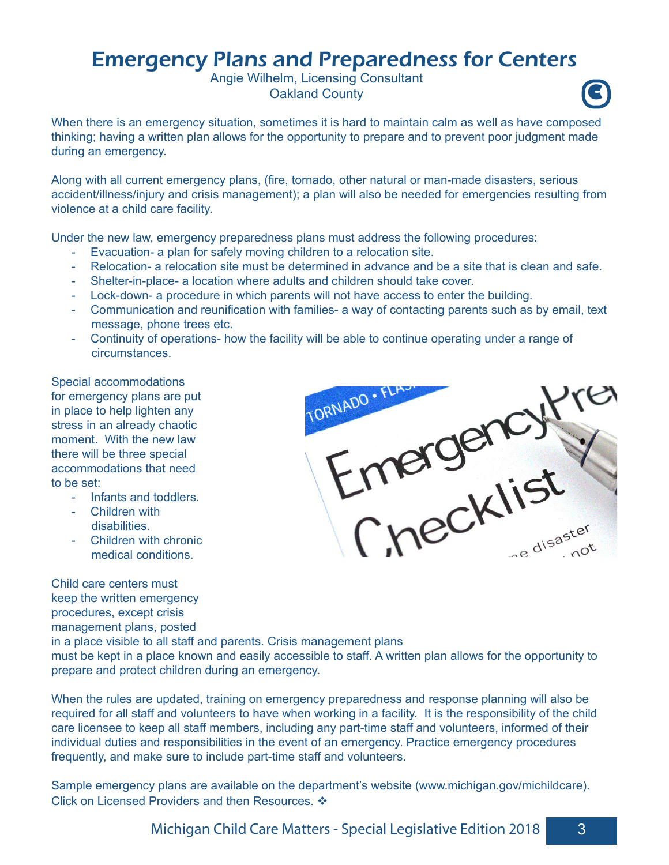## Emergency Plans and Preparedness for Centers

Angie Wilhelm, Licensing Consultant **Oakland County** 



When there is an emergency situation, sometimes it is hard to maintain calm as well as have composed thinking; having a written plan allows for the opportunity to prepare and to prevent poor judgment made during an emergency.

Along with all current emergency plans, (fire, tornado, other natural or man-made disasters, serious accident/illness/injury and crisis management); a plan will also be needed for emergencies resulting from violence at a child care facility.

Under the new law, emergency preparedness plans must address the following procedures:

- Evacuation- a plan for safely moving children to a relocation site.
- Relocation- a relocation site must be determined in advance and be a site that is clean and safe.
- Shelter-in-place- a location where adults and children should take cover.
- Lock-down- a procedure in which parents will not have access to enter the building.
- Communication and reunification with families- a way of contacting parents such as by email, text message, phone trees etc.
- Continuity of operations- how the facility will be able to continue operating under a range of circumstances.

Special accommodations for emergency plans are put in place to help lighten any stress in an already chaotic moment. With the new law there will be three special accommodations that need to be set:

- Infants and toddlers.
- Children with disabilities.
- Children with chronic medical conditions.

Child care centers must keep the written emergency procedures, except crisis management plans, posted



in a place visible to all staff and parents. Crisis management plans must be kept in a place known and easily accessible to staff. A written plan allows for the opportunity to prepare and protect children during an emergency.

When the rules are updated, training on emergency preparedness and response planning will also be required for all staff and volunteers to have when working in a facility. It is the responsibility of the child care licensee to keep all staff members, including any part-time staff and volunteers, informed of their individual duties and responsibilities in the event of an emergency. Practice emergency procedures frequently, and make sure to include part-time staff and volunteers.

Sample emergency plans are available on the department's website (www.michigan.gov/michildcare). Click on Licensed Providers and then Resources. ❖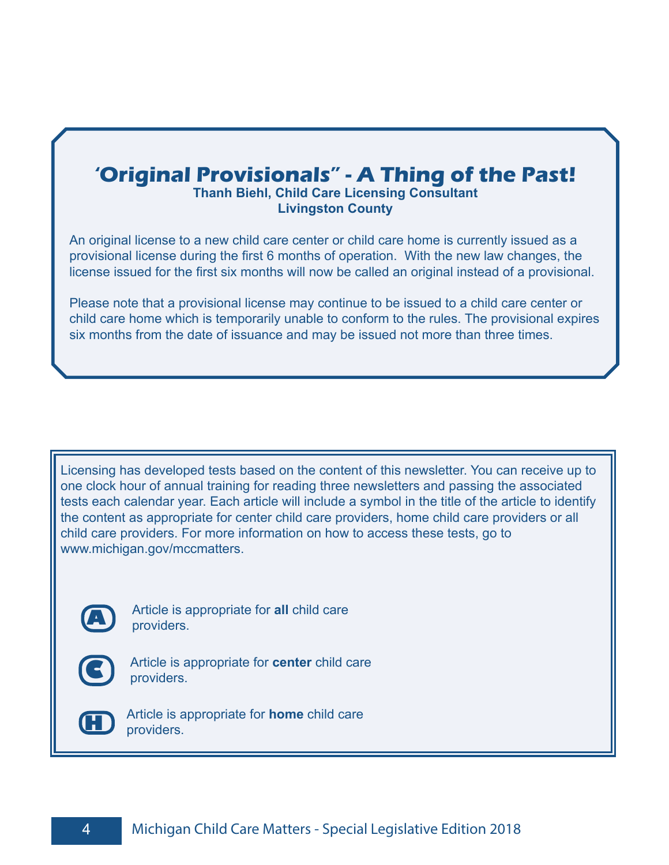## **'Original Provisionals" - A Thing of the Past!**

#### **Thanh Biehl, Child Care Licensing Consultant Livingston County**

An original license to a new child care center or child care home is currently issued as a provisional license during the first 6 months of operation. With the new law changes, the license issued for the first six months will now be called an original instead of a provisional.

Please note that a provisional license may continue to be issued to a child care center or child care home which is temporarily unable to conform to the rules. The provisional expires six months from the date of issuance and may be issued not more than three times.

Licensing has developed tests based on the content of this newsletter. You can receive up to one clock hour of annual training for reading three newsletters and passing the associated tests each calendar year. Each article will include a symbol in the title of the article to identify the content as appropriate for center child care providers, home child care providers or all child care providers. For more information on how to access these tests, go to www.michigan.gov/mccmatters.



**A** Article is appropriate for **all** child care providers.



Article is appropriate for **center** child care providers.



**H** Article is appropriate for **home** child care providers.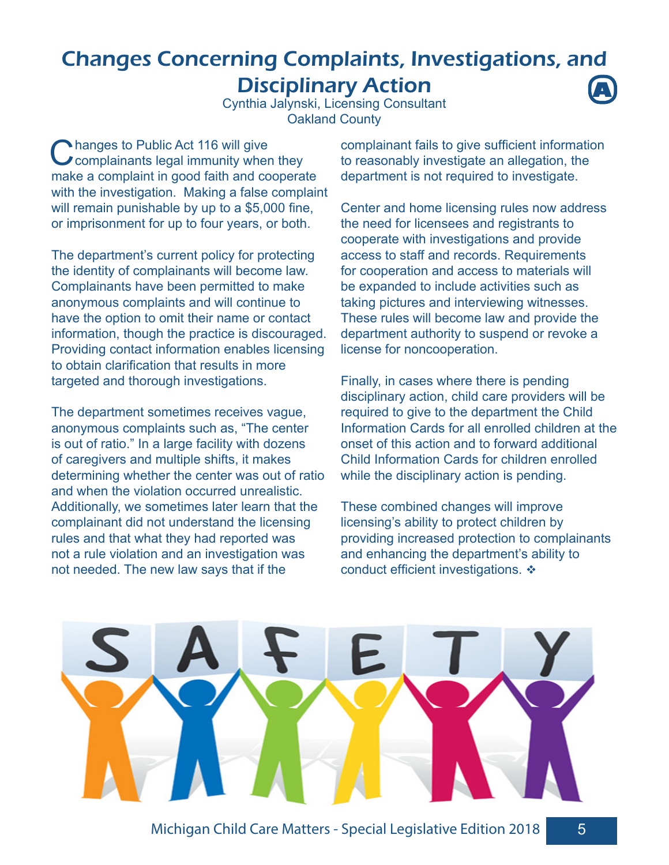#### Changes Concerning Complaints, Investigations, and Disciplinary Action **A**

Cynthia Jalynski, Licensing Consultant Oakland County

Changes to Public Act 116 will give<br>
Complainants legal immunity when they make a complaint in good faith and cooperate with the investigation. Making a false complaint will remain punishable by up to a \$5,000 fine, or imprisonment for up to four years, or both.

The department's current policy for protecting the identity of complainants will become law. Complainants have been permitted to make anonymous complaints and will continue to have the option to omit their name or contact information, though the practice is discouraged. Providing contact information enables licensing to obtain clarification that results in more targeted and thorough investigations.

The department sometimes receives vague, anonymous complaints such as, "The center is out of ratio." In a large facility with dozens of caregivers and multiple shifts, it makes determining whether the center was out of ratio and when the violation occurred unrealistic. Additionally, we sometimes later learn that the complainant did not understand the licensing rules and that what they had reported was not a rule violation and an investigation was not needed. The new law says that if the

complainant fails to give sufficient information to reasonably investigate an allegation, the department is not required to investigate.

Center and home licensing rules now address the need for licensees and registrants to cooperate with investigations and provide access to staff and records. Requirements for cooperation and access to materials will be expanded to include activities such as taking pictures and interviewing witnesses. These rules will become law and provide the department authority to suspend or revoke a license for noncooperation.

Finally, in cases where there is pending disciplinary action, child care providers will be required to give to the department the Child Information Cards for all enrolled children at the onset of this action and to forward additional Child Information Cards for children enrolled while the disciplinary action is pending.

These combined changes will improve licensing's ability to protect children by providing increased protection to complainants and enhancing the department's ability to conduct efficient investigations.  $\div$ 

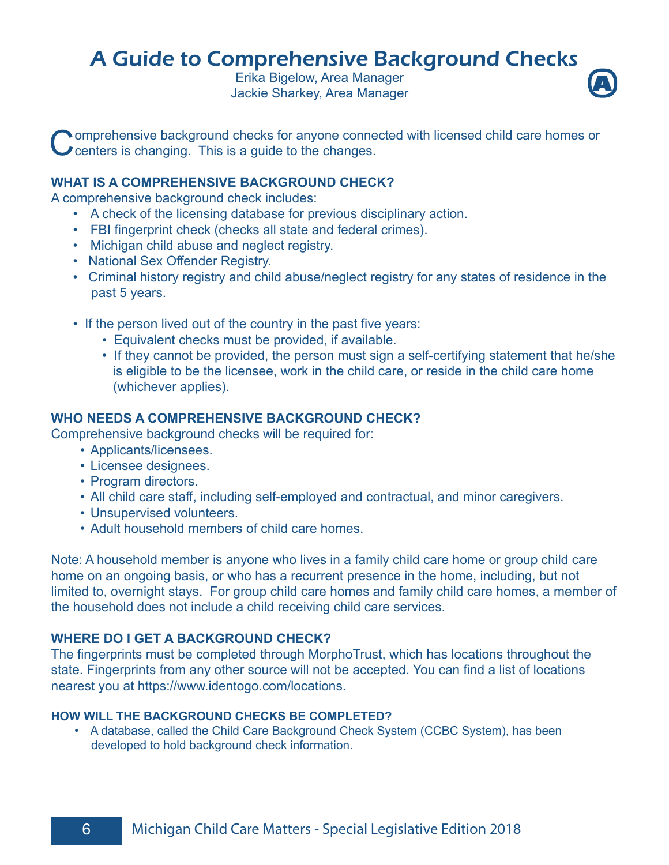## A Guide to Comprehensive Background Checks

Erika Bigelow, Area Manager **Jackie Sharkey, Area Manager** 



**Nomprehensive background checks for anyone connected with licensed child care homes or Centers is changing. This is a guide to the changes.** 

#### **WHAT IS A COMPREHENSIVE BACKGROUND CHECK?**

A comprehensive background check includes:

- A check of the licensing database for previous disciplinary action.
- FBI fingerprint check (checks all state and federal crimes).
- Michigan child abuse and neglect registry.
- National Sex Offender Registry.
- Criminal history registry and child abuse/neglect registry for any states of residence in the past 5 years.
- If the person lived out of the country in the past five years:
	- Equivalent checks must be provided, if available.
	- If they cannot be provided, the person must sign a self-certifying statement that he/she is eligible to be the licensee, work in the child care, or reside in the child care home (whichever applies).

#### **WHO NEEDS A COMPREHENSIVE BACKGROUND CHECK?**

Comprehensive background checks will be required for:

- Applicants/licensees.
- Licensee designees.
- Program directors.
- All child care staff, including self-employed and contractual, and minor caregivers.
- Unsupervised volunteers.
- Adult household members of child care homes.

Note: A household member is anyone who lives in a family child care home or group child care home on an ongoing basis, or who has a recurrent presence in the home, including, but not limited to, overnight stays. For group child care homes and family child care homes, a member of the household does not include a child receiving child care services.

#### **WHERE DO I GET A BACKGROUND CHECK?**

The fingerprints must be completed through MorphoTrust, which has locations throughout the state. Fingerprints from any other source will not be accepted. You can find a list of locations nearest you at https://www.identogo.com/locations.

#### **HOW WILL THE BACKGROUND CHECKS BE COMPLETED?**

 • A database, called the Child Care Background Check System (CCBC System), has been developed to hold background check information.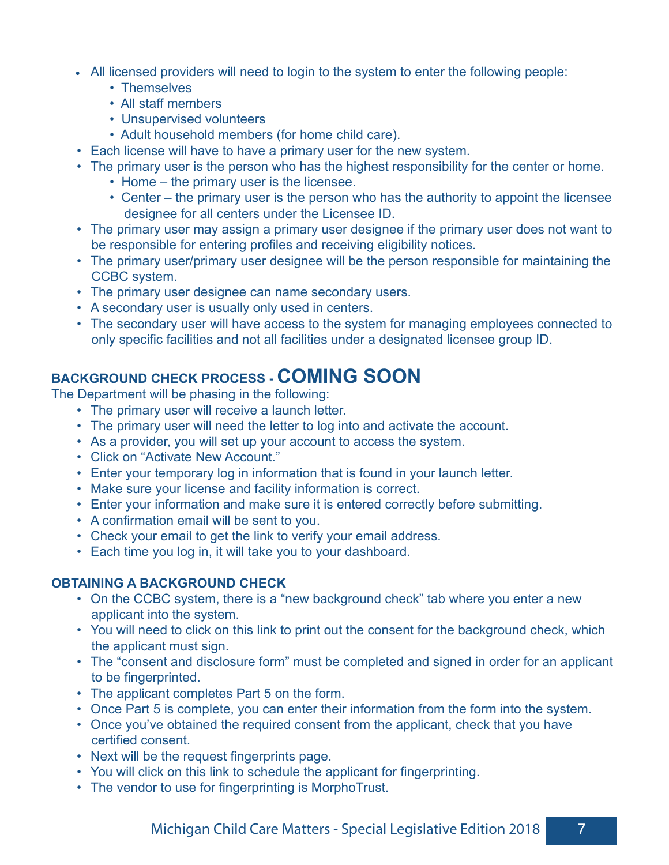- All licensed providers will need to login to the system to enter the following people:
	- Themselves
	- All staff members
	- Unsupervised volunteers
	- Adult household members (for home child care).
- Each license will have to have a primary user for the new system.
- The primary user is the person who has the highest responsibility for the center or home.
	- Home the primary user is the licensee.
	- Center the primary user is the person who has the authority to appoint the licensee designee for all centers under the Licensee ID.
- The primary user may assign a primary user designee if the primary user does not want to be responsible for entering profiles and receiving eligibility notices.
- The primary user/primary user designee will be the person responsible for maintaining the CCBC system.
- The primary user designee can name secondary users.
- A secondary user is usually only used in centers.
- The secondary user will have access to the system for managing employees connected to only specific facilities and not all facilities under a designated licensee group ID.

#### **BACKGROUND CHECK PROCESS - COMING SOON**

The Department will be phasing in the following:

- The primary user will receive a launch letter.
- The primary user will need the letter to log into and activate the account.
- As a provider, you will set up your account to access the system.
- Click on "Activate New Account."
- Enter your temporary log in information that is found in your launch letter.
- Make sure your license and facility information is correct.
- Enter your information and make sure it is entered correctly before submitting.
- A confirmation email will be sent to you.
- Check your email to get the link to verify your email address.
- Each time you log in, it will take you to your dashboard.

#### **OBTAINING A BACKGROUND CHECK**

- On the CCBC system, there is a "new background check" tab where you enter a new applicant into the system.
- You will need to click on this link to print out the consent for the background check, which the applicant must sign.
- The "consent and disclosure form" must be completed and signed in order for an applicant to be fingerprinted.
- The applicant completes Part 5 on the form.
- Once Part 5 is complete, you can enter their information from the form into the system.
- Once you've obtained the required consent from the applicant, check that you have certified consent.
- Next will be the request fingerprints page.
- You will click on this link to schedule the applicant for fingerprinting.
- The vendor to use for fingerprinting is MorphoTrust.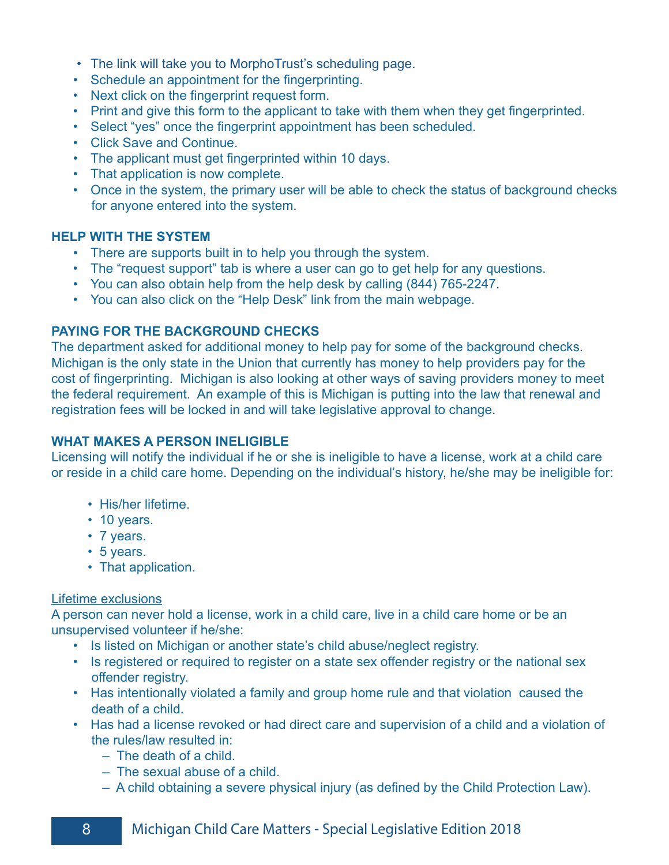- The link will take you to MorphoTrust's scheduling page.
- Schedule an appointment for the fingerprinting.
- Next click on the fingerprint request form.
- Print and give this form to the applicant to take with them when they get fingerprinted.
- Select "yes" once the fingerprint appointment has been scheduled.
- Click Save and Continue.
- The applicant must get fingerprinted within 10 days.
- That application is now complete.
- Once in the system, the primary user will be able to check the status of background checks for anyone entered into the system.

#### **HELP WITH THE SYSTEM**

- There are supports built in to help you through the system.
- The "request support" tab is where a user can go to get help for any questions.
- You can also obtain help from the help desk by calling (844) 765-2247.
- You can also click on the "Help Desk" link from the main webpage.

#### **PAYING FOR THE BACKGROUND CHECKS**

The department asked for additional money to help pay for some of the background checks. Michigan is the only state in the Union that currently has money to help providers pay for the cost of fingerprinting. Michigan is also looking at other ways of saving providers money to meet the federal requirement. An example of this is Michigan is putting into the law that renewal and registration fees will be locked in and will take legislative approval to change.

#### **WHAT MAKES A PERSON INELIGIBLE**

Licensing will notify the individual if he or she is ineligible to have a license, work at a child care or reside in a child care home. Depending on the individual's history, he/she may be ineligible for:

- His/her lifetime.
- 10 years.
- 7 years.
- 5 years.
- That application.

#### Lifetime exclusions

A person can never hold a license, work in a child care, live in a child care home or be an unsupervised volunteer if he/she:

- Is listed on Michigan or another state's child abuse/neglect registry.
- Is registered or required to register on a state sex offender registry or the national sex offender registry.
- Has intentionally violated a family and group home rule and that violation caused the death of a child.
- Has had a license revoked or had direct care and supervision of a child and a violation of the rules/law resulted in:
	- The death of a child.
	- The sexual abuse of a child.
	- A child obtaining a severe physical injury (as defined by the Child Protection Law).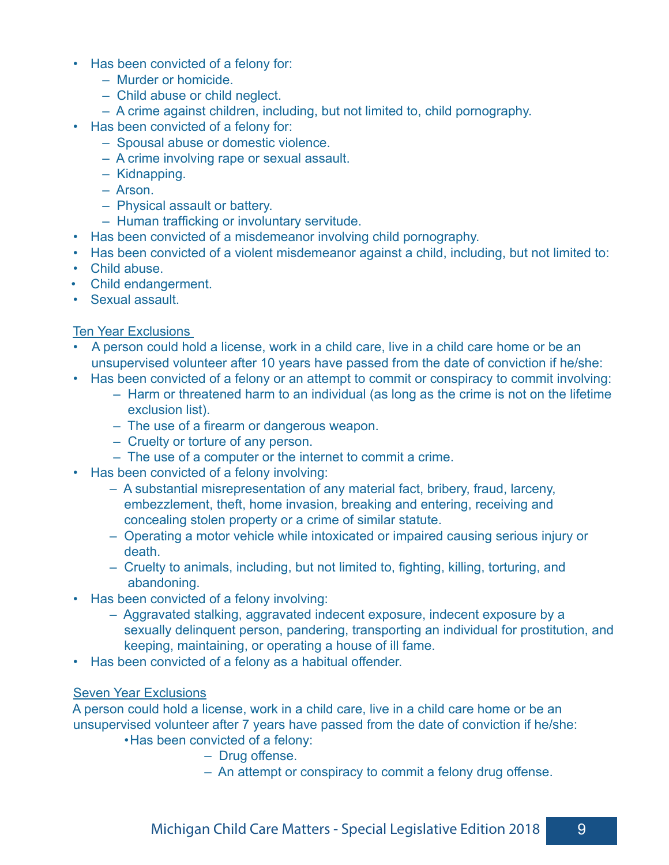- Has been convicted of a felony for:
	- Murder or homicide.
	- Child abuse or child neglect.
	- A crime against children, including, but not limited to, child pornography.
- Has been convicted of a felony for:
	- Spousal abuse or domestic violence.
	- A crime involving rape or sexual assault.
	- Kidnapping.
	- Arson.
	- Physical assault or battery.
	- Human trafficking or involuntary servitude.
- Has been convicted of a misdemeanor involving child pornography.
- Has been convicted of a violent misdemeanor against a child, including, but not limited to:
- Child abuse.
- Child endangerment.
- Sexual assault.

#### Ten Year Exclusions

- A person could hold a license, work in a child care, live in a child care home or be an unsupervised volunteer after 10 years have passed from the date of conviction if he/she:
- Has been convicted of a felony or an attempt to commit or conspiracy to commit involving:
	- Harm or threatened harm to an individual (as long as the crime is not on the lifetime exclusion list).
	- The use of a firearm or dangerous weapon.
	- Cruelty or torture of any person.
	- The use of a computer or the internet to commit a crime.
- Has been convicted of a felony involving:
	- A substantial misrepresentation of any material fact, bribery, fraud, larceny, embezzlement, theft, home invasion, breaking and entering, receiving and concealing stolen property or a crime of similar statute.
	- Operating a motor vehicle while intoxicated or impaired causing serious injury or death.
	- Cruelty to animals, including, but not limited to, fighting, killing, torturing, and abandoning.
- Has been convicted of a felony involving:
	- Aggravated stalking, aggravated indecent exposure, indecent exposure by a sexually delinquent person, pandering, transporting an individual for prostitution, and keeping, maintaining, or operating a house of ill fame.
- Has been convicted of a felony as a habitual offender.

#### Seven Year Exclusions

 A person could hold a license, work in a child care, live in a child care home or be an unsupervised volunteer after 7 years have passed from the date of conviction if he/she:

•Has been convicted of a felony:

- Drug offense.
- An attempt or conspiracy to commit a felony drug offense.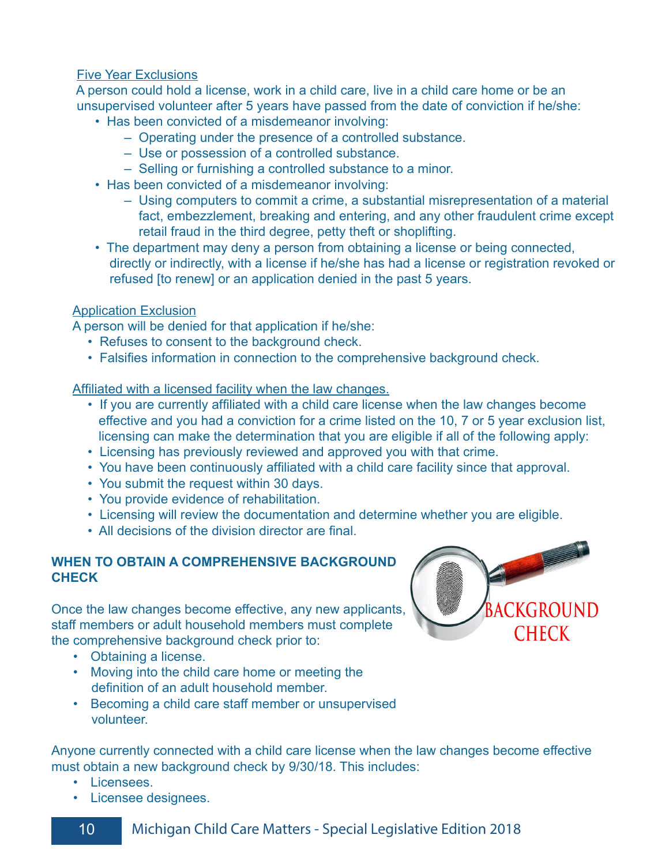#### Five Year Exclusions

 A person could hold a license, work in a child care, live in a child care home or be an unsupervised volunteer after 5 years have passed from the date of conviction if he/she:

- Has been convicted of a misdemeanor involving:
	- Operating under the presence of a controlled substance.
	- Use or possession of a controlled substance.
	- Selling or furnishing a controlled substance to a minor.
- Has been convicted of a misdemeanor involving:
	- Using computers to commit a crime, a substantial misrepresentation of a material fact, embezzlement, breaking and entering, and any other fraudulent crime except retail fraud in the third degree, petty theft or shoplifting.
- The department may deny a person from obtaining a license or being connected, directly or indirectly, with a license if he/she has had a license or registration revoked or refused [to renew] or an application denied in the past 5 years.

#### Application Exclusion

A person will be denied for that application if he/she:

- Refuses to consent to the background check.
- Falsifies information in connection to the comprehensive background check.

Affiliated with a licensed facility when the law changes.

- If you are currently affiliated with a child care license when the law changes become effective and you had a conviction for a crime listed on the 10, 7 or 5 year exclusion list, licensing can make the determination that you are eligible if all of the following apply:
- Licensing has previously reviewed and approved you with that crime.
- You have been continuously affiliated with a child care facility since that approval.
- You submit the request within 30 days.
- You provide evidence of rehabilitation.
- Licensing will review the documentation and determine whether you are eligible.
- All decisions of the division director are final.

#### **WHEN TO OBTAIN A COMPREHENSIVE BACKGROUND CHECK**

Once the law changes become effective, any new applicants, staff members or adult household members must complete the comprehensive background check prior to:

- Obtaining a license.
- Moving into the child care home or meeting the definition of an adult household member.
- Becoming a child care staff member or unsupervised volunteer.

Anyone currently connected with a child care license when the law changes become effective must obtain a new background check by 9/30/18. This includes:

- Licensees.
- Licensee designees.

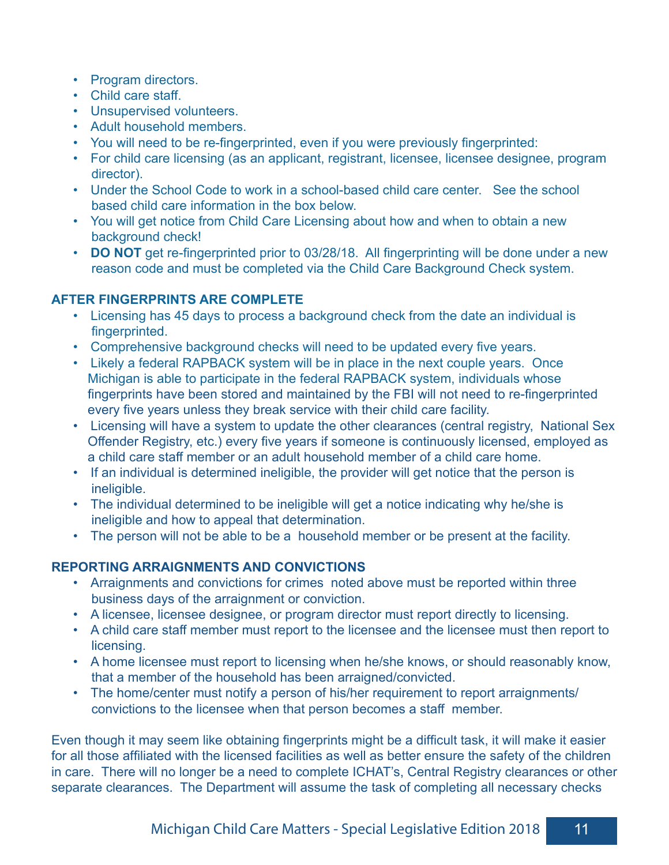- Program directors.
- Child care staff.
- Unsupervised volunteers.
- Adult household members.
- You will need to be re-fingerprinted, even if you were previously fingerprinted:
- For child care licensing (as an applicant, registrant, licensee, licensee designee, program director).
- Under the School Code to work in a school-based child care center. See the school based child care information in the box below.
- You will get notice from Child Care Licensing about how and when to obtain a new background check!
- **DO NOT** get re-fingerprinted prior to 03/28/18. All fingerprinting will be done under a new reason code and must be completed via the Child Care Background Check system.

#### **AFTER FINGERPRINTS ARE COMPLETE**

- Licensing has 45 days to process a background check from the date an individual is fingerprinted.
- Comprehensive background checks will need to be updated every five years.
- Likely a federal RAPBACK system will be in place in the next couple years. Once Michigan is able to participate in the federal RAPBACK system, individuals whose fingerprints have been stored and maintained by the FBI will not need to re-fingerprinted every five years unless they break service with their child care facility.
- Licensing will have a system to update the other clearances (central registry, National Sex Offender Registry, etc.) every five years if someone is continuously licensed, employed as a child care staff member or an adult household member of a child care home.
- If an individual is determined ineligible, the provider will get notice that the person is ineligible.
- The individual determined to be ineligible will get a notice indicating why he/she is ineligible and how to appeal that determination.
- The person will not be able to be a household member or be present at the facility.

#### **REPORTING ARRAIGNMENTS AND CONVICTIONS**

- Arraignments and convictions for crimes noted above must be reported within three business days of the arraignment or conviction.
- A licensee, licensee designee, or program director must report directly to licensing.
- A child care staff member must report to the licensee and the licensee must then report to licensing.
- A home licensee must report to licensing when he/she knows, or should reasonably know, that a member of the household has been arraigned/convicted.
- The home/center must notify a person of his/her requirement to report arraignments/ convictions to the licensee when that person becomes a staff member.

Even though it may seem like obtaining fingerprints might be a difficult task, it will make it easier for all those affiliated with the licensed facilities as well as better ensure the safety of the children in care. There will no longer be a need to complete ICHAT's, Central Registry clearances or other separate clearances. The Department will assume the task of completing all necessary checks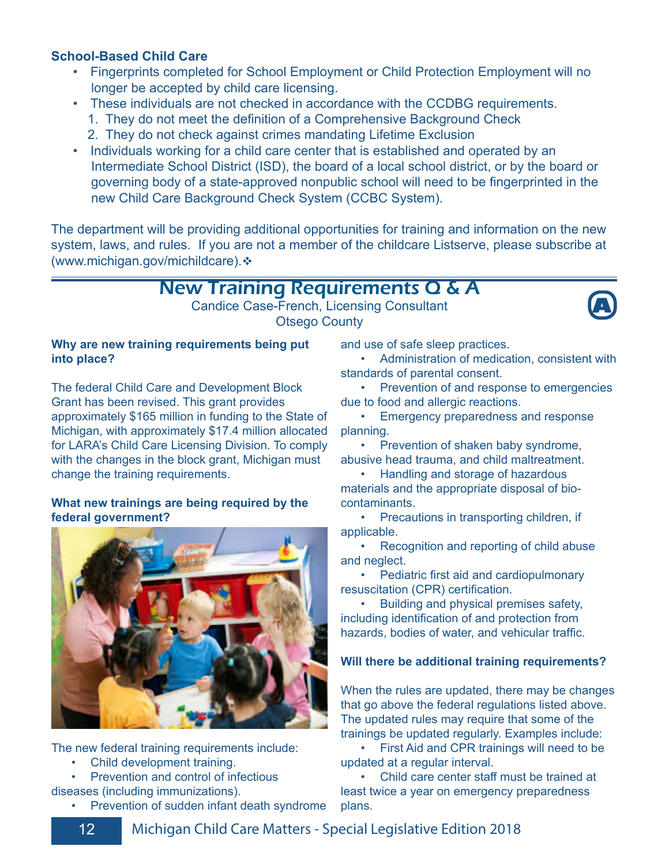#### **School-Based Child Care**

- Fingerprints completed for School Employment or Child Protection Employment will no longer be accepted by child care licensing.
- These individuals are not checked in accordance with the CCDBG requirements.
	- 1. They do not meet the definition of a Comprehensive Background Check
	- 2. They do not check against crimes mandating Lifetime Exclusion
- Individuals working for a child care center that is established and operated by an Intermediate School District (ISD), the board of a local school district, or by the board or governing body of a state-approved nonpublic school will need to be fingerprinted in the new Child Care Background Check System (CCBC System).

The department will be providing additional opportunities for training and information on the new system, laws, and rules. If you are not a member of the childcare Listserve, please subscribe at (www.michigan.gov/michildcare).

## New Training Requirements Q & A

Candice Case-French, Licensing Consultant Otsego County



The federal Child Care and Development Block Grant has been revised. This grant provides approximately \$165 million in funding to the State of Michigan, with approximately \$17.4 million allocated for LARA's Child Care Licensing Division. To comply with the changes in the block grant, Michigan must change the training requirements.

#### **What new trainings are being required by the federal government?**



The new federal training requirements include:

- Child development training.
- Prevention and control of infectious
- diseases (including immunizations).
	- Prevention of sudden infant death syndrome

and use of safe sleep practices.

 • Administration of medication, consistent with standards of parental consent.

**A**

• Prevention of and response to emergencies due to food and allergic reactions.

 • Emergency preparedness and response planning.

 • Prevention of shaken baby syndrome, abusive head trauma, and child maltreatment.

 • Handling and storage of hazardous materials and the appropriate disposal of biocontaminants.

 • Precautions in transporting children, if applicable.

 • Recognition and reporting of child abuse and neglect.

 • Pediatric first aid and cardiopulmonary resuscitation (CPR) certification.

 • Building and physical premises safety, including identification of and protection from hazards, bodies of water, and vehicular traffic.

#### **Will there be additional training requirements?**

When the rules are updated, there may be changes that go above the federal regulations listed above. The updated rules may require that some of the trainings be updated regularly. Examples include:

 • First Aid and CPR trainings will need to be updated at a regular interval.

 • Child care center staff must be trained at least twice a year on emergency preparedness plans.

12 Michigan Child Care Matters - Special Legislative Edition 2018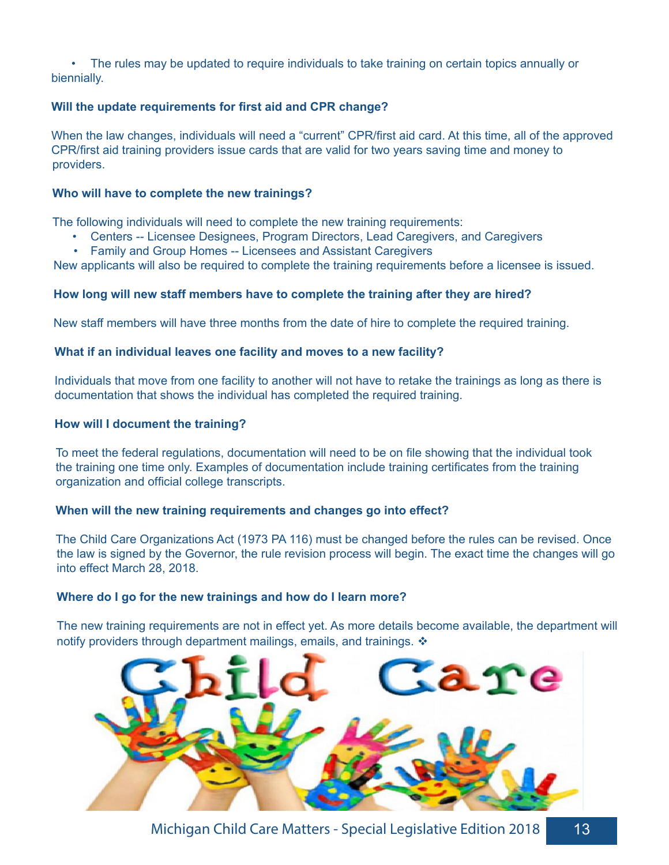• The rules may be updated to require individuals to take training on certain topics annually or biennially.

#### **Will the update requirements for first aid and CPR change?**

When the law changes, individuals will need a "current" CPR/first aid card. At this time, all of the approved CPR/first aid training providers issue cards that are valid for two years saving time and money to providers.

#### **Who will have to complete the new trainings?**

The following individuals will need to complete the new training requirements:

- Centers -- Licensee Designees, Program Directors, Lead Caregivers, and Caregivers
- Family and Group Homes -- Licensees and Assistant Caregivers

New applicants will also be required to complete the training requirements before a licensee is issued.

#### **How long will new staff members have to complete the training after they are hired?**

New staff members will have three months from the date of hire to complete the required training.

#### **What if an individual leaves one facility and moves to a new facility?**

Individuals that move from one facility to another will not have to retake the trainings as long as there is documentation that shows the individual has completed the required training.

#### **How will I document the training?**

To meet the federal regulations, documentation will need to be on file showing that the individual took the training one time only. Examples of documentation include training certificates from the training organization and official college transcripts.

#### **When will the new training requirements and changes go into effect?**

The Child Care Organizations Act (1973 PA 116) must be changed before the rules can be revised. Once the law is signed by the Governor, the rule revision process will begin. The exact time the changes will go into effect March 28, 2018.

#### **Where do I go for the new trainings and how do I learn more?**

The new training requirements are not in effect yet. As more details become available, the department will notify providers through department mailings, emails, and trainings.  $\triangleleft$ 



Michigan Child Care Matters - Special Legislative Edition 2018 13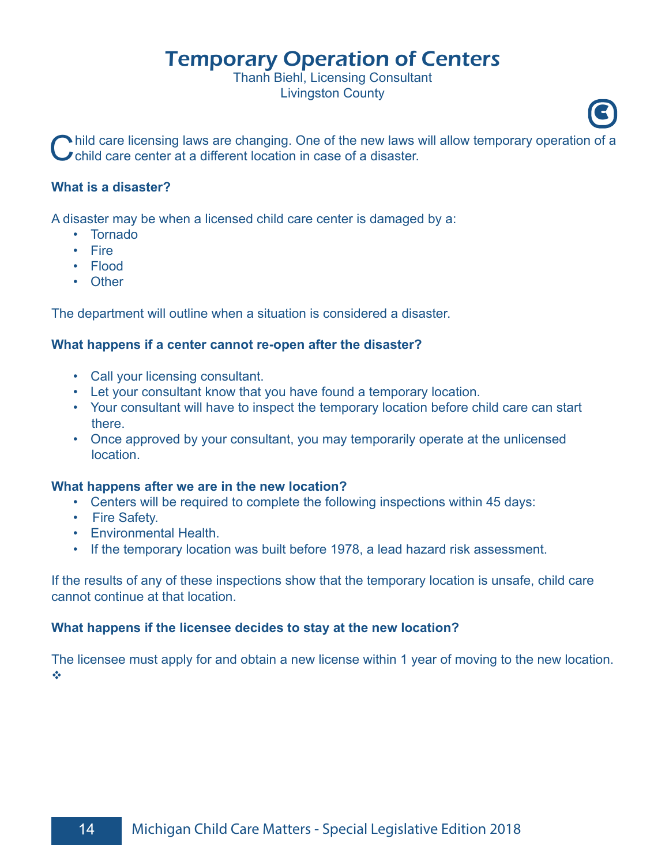## Temporary Operation of Centers

Thanh Biehl, Licensing Consultant Livingston County

Child care licensing laws are changing. One of the new laws will allow temporary operation of a child care center at a different location in case of a disaster.

**C**

#### **What is a disaster?**

A disaster may be when a licensed child care center is damaged by a:

- Tornado
- Fire
- Flood
- Other

The department will outline when a situation is considered a disaster.

#### **What happens if a center cannot re-open after the disaster?**

- Call your licensing consultant.
- Let your consultant know that you have found a temporary location.
- Your consultant will have to inspect the temporary location before child care can start there.
- Once approved by your consultant, you may temporarily operate at the unlicensed location.

#### **What happens after we are in the new location?**

- Centers will be required to complete the following inspections within 45 days:
- Fire Safety.
- Environmental Health.
- If the temporary location was built before 1978, a lead hazard risk assessment.

If the results of any of these inspections show that the temporary location is unsafe, child care cannot continue at that location.

#### **What happens if the licensee decides to stay at the new location?**

The licensee must apply for and obtain a new license within 1 year of moving to the new location.  $\mathcal{L}_{\mathcal{S}}$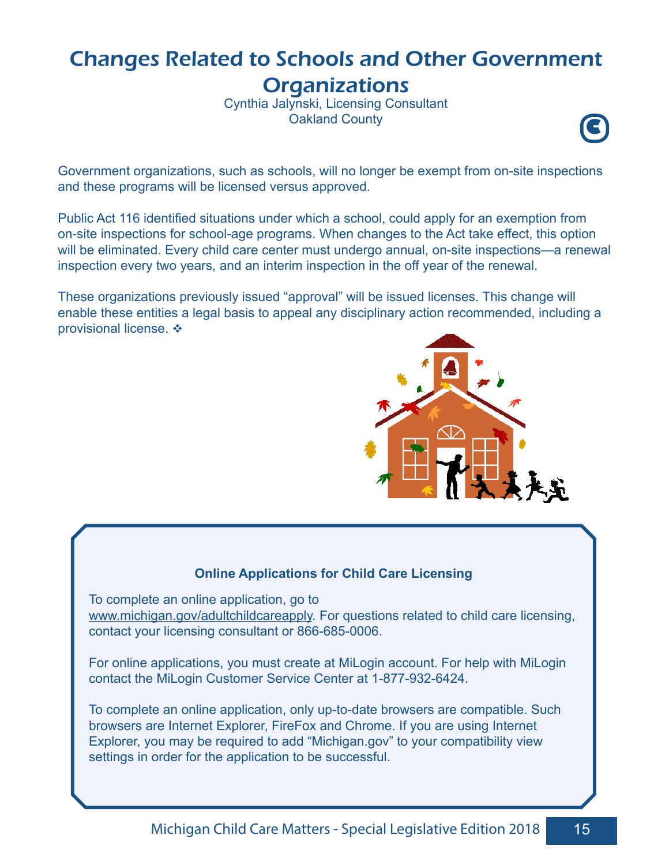## Changes Related to Schools and Other Government **Organizations**

Cynthia Jalynski, Licensing Consultant **Oakland County** 



Government organizations, such as schools, will no longer be exempt from on-site inspections and these programs will be licensed versus approved.

Public Act 116 identified situations under which a school, could apply for an exemption from on-site inspections for school-age programs. When changes to the Act take effect, this option will be eliminated. Every child care center must undergo annual, on-site inspections—a renewal inspection every two years, and an interim inspection in the off year of the renewal.

These organizations previously issued "approval" will be issued licenses. This change will enable these entities a legal basis to appeal any disciplinary action recommended, including a provisional license. ❖



#### **Online Applications for Child Care Licensing**

To complete an online application, go to www.michigan.gov/adultchildcareapply. For questions related to child care licensing, contact your licensing consultant or 866-685-0006.

For online applications, you must create at MiLogin account. For help with MiLogin contact the MiLogin Customer Service Center at 1-877-932-6424.

To complete an online application, only up-to-date browsers are compatible. Such browsers are Internet Explorer, FireFox and Chrome. If you are using Internet Explorer, you may be required to add "Michigan.gov" to your compatibility view settings in order for the application to be successful.